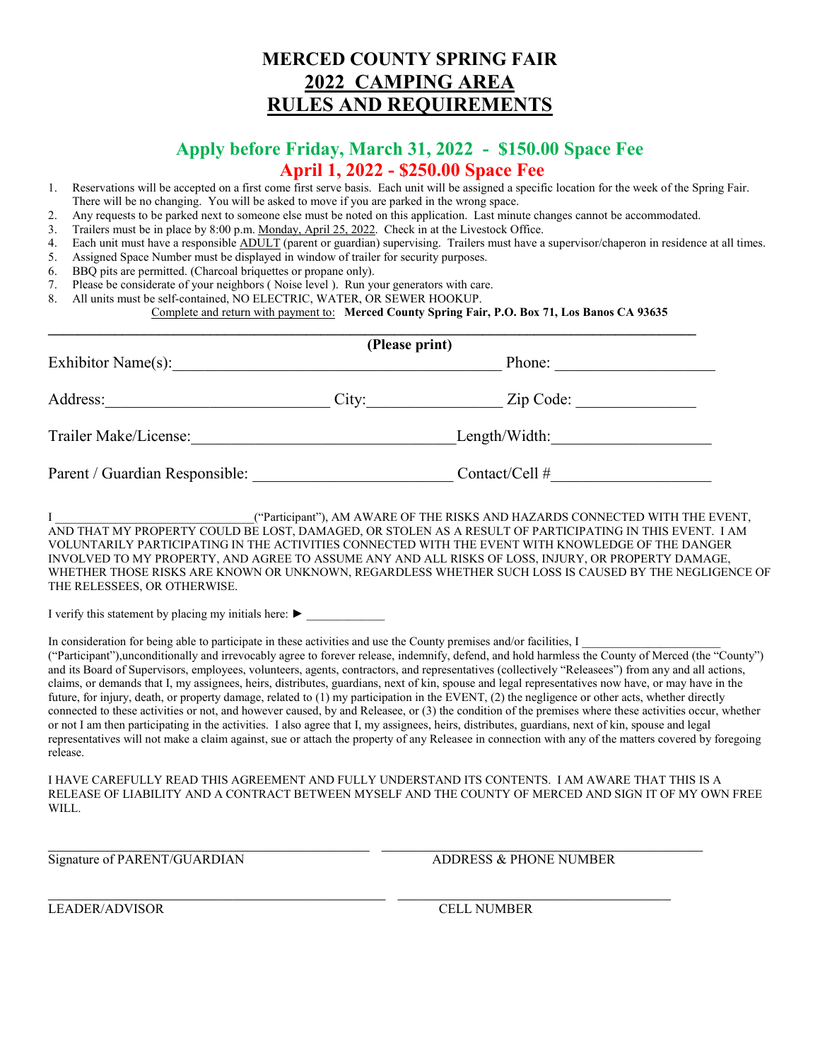### **MERCED COUNTY SPRING FAIR 2022 CAMPING AREA RULES AND REQUIREMENTS**

#### **Apply before Friday, March 31, 2022 - \$150.00 Space Fee April 1, 2022 - \$250.00 Space Fee**

- 1. Reservations will be accepted on a first come first serve basis. Each unit will be assigned a specific location for the week of the Spring Fair. There will be no changing. You will be asked to move if you are parked in the wrong space.
- 2. Any requests to be parked next to someone else must be noted on this application. Last minute changes cannot be accommodated.
- 3. Trailers must be in place by 8:00 p.m. Monday, April 25, 2022. Check in at the Livestock Office.
- 4. Each unit must have a responsible ADULT (parent or guardian) supervising. Trailers must have a supervisor/chaperon in residence at all times.
- 5. Assigned Space Number must be displayed in window of trailer for security purposes.
- 6. BBQ pits are permitted. (Charcoal briquettes or propane only).
- 7. Please be considerate of your neighbors ( Noise level ). Run your generators with care.
- 8. All units must be self-contained, NO ELECTRIC, WATER, OR SEWER HOOKUP.

#### Complete and return with payment to: **Merced County Spring Fair, P.O. Box 71, Los Banos CA 93635**

|                                | (Please print) |                |  |
|--------------------------------|----------------|----------------|--|
| Exhibitor Name(s):             |                | Phone:         |  |
| Address:                       | City:          | Zip Code:      |  |
| Trailer Make/License:          |                | Length/Width:  |  |
| Parent / Guardian Responsible: |                | Contact/Cell # |  |

I \_\_\_\_\_\_\_\_\_\_\_\_\_\_\_\_\_\_\_\_\_\_\_\_\_\_\_\_\_\_\_\_\_("Participant"), AM AWARE OF THE RISKS AND HAZARDS CONNECTED WITH THE EVENT, AND THAT MY PROPERTY COULD BE LOST, DAMAGED, OR STOLEN AS A RESULT OF PARTICIPATING IN THIS EVENT. I AM VOLUNTARILY PARTICIPATING IN THE ACTIVITIES CONNECTED WITH THE EVENT WITH KNOWLEDGE OF THE DANGER INVOLVED TO MY PROPERTY, AND AGREE TO ASSUME ANY AND ALL RISKS OF LOSS, INJURY, OR PROPERTY DAMAGE, WHETHER THOSE RISKS ARE KNOWN OR UNKNOWN, REGARDLESS WHETHER SUCH LOSS IS CAUSED BY THE NEGLIGENCE OF THE RELESSEES, OR OTHERWISE.

I verify this statement by placing my initials here:  $\blacktriangleright$ 

In consideration for being able to participate in these activities and use the County premises and/or facilities, I

("Participant"),unconditionally and irrevocably agree to forever release, indemnify, defend, and hold harmless the County of Merced (the "County") and its Board of Supervisors, employees, volunteers, agents, contractors, and representatives (collectively "Releasees") from any and all actions, claims, or demands that I, my assignees, heirs, distributes, guardians, next of kin, spouse and legal representatives now have, or may have in the future, for injury, death, or property damage, related to (1) my participation in the EVENT, (2) the negligence or other acts, whether directly connected to these activities or not, and however caused, by and Releasee, or (3) the condition of the premises where these activities occur, whether or not I am then participating in the activities. I also agree that I, my assignees, heirs, distributes, guardians, next of kin, spouse and legal representatives will not make a claim against, sue or attach the property of any Releasee in connection with any of the matters covered by foregoing release.

I HAVE CAREFULLY READ THIS AGREEMENT AND FULLY UNDERSTAND ITS CONTENTS. I AM AWARE THAT THIS IS A RELEASE OF LIABILITY AND A CONTRACT BETWEEN MYSELF AND THE COUNTY OF MERCED AND SIGN IT OF MY OWN FREE WILL.

\_\_\_\_\_\_\_\_\_\_\_\_\_\_\_\_\_\_\_\_\_\_\_\_\_\_\_\_\_\_\_\_\_\_\_\_\_\_\_\_\_\_ \_\_\_\_\_\_\_\_\_\_\_\_\_\_\_\_\_\_\_\_\_\_\_\_\_\_\_\_\_\_\_\_\_\_

Signature of PARENT/GUARDIAN ADDRESS & PHONE NUMBER

LEADER/ADVISOR CELL NUMBER